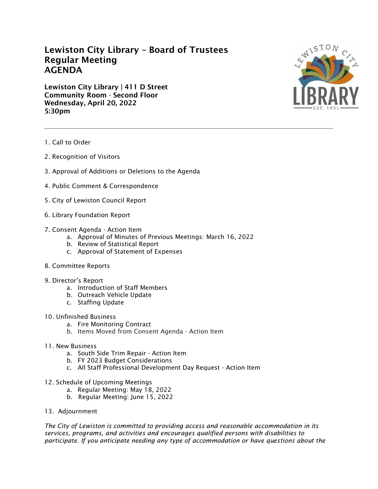## **Lewiston City Library – Board of Trustees Regular Meeting AGENDA**

**Lewiston City Library | 411 D Street Community Room - Second Floor Wednesday, April 20, 2022 5:30pm**



- 1. Call to Order
- 2. Recognition of Visitors
- 3. Approval of Additions or Deletions to the Agenda
- 4. Public Comment & Correspondence
- 5. City of Lewiston Council Report
- 6. Library Foundation Report
- 7. Consent Agenda Action Item
	- a. Approval of Minutes of Previous Meetings: March 16, 2022
	- b. Review of Statistical Report
	- c. Approval of Statement of Expenses
- 8. Committee Reports
- 9. Director's Report
	- a. Introduction of Staff Members
	- b. Outreach Vehicle Update
	- c. Staffing Update
- 10. Unfinished Business
	- a. Fire Monitoring Contract
	- b. Items Moved from Consent Agenda Action Item
- 11. New Business
	- a. South Side Trim Repair Action Item
	- b. FY 2023 Budget Considerations
	- c. All Staff Professional Development Day Request Action Item
- 12. Schedule of Upcoming Meetings
	- a. Regular Meeting: May 18, 2022
	- b. Regular Meeting: June 15, 2022
- 13. Adjournment

*The City of Lewiston is committed to providing access and reasonable accommodation in its services, programs, and activities and encourages qualified persons with disabilities to participate. If you anticipate needing any type of accommodation or have questions about the*